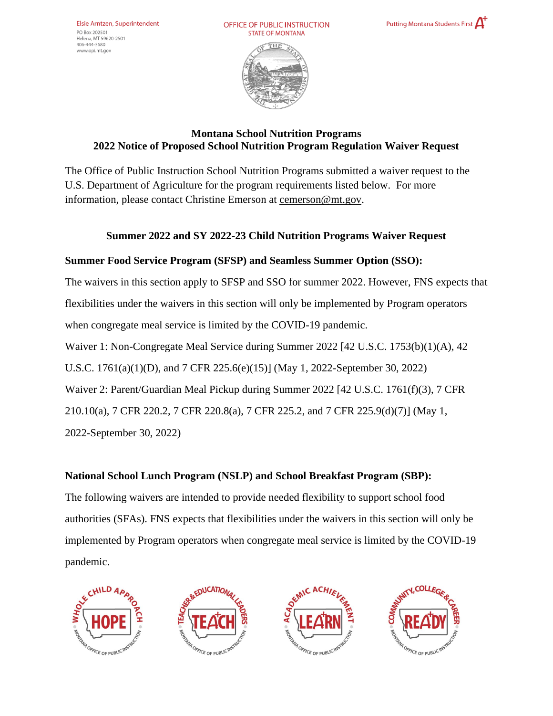OFFICE OF PUBLIC INSTRUCTION **STATE OF MONTANA** 





# **Montana School Nutrition Programs 2022 Notice of Proposed School Nutrition Program Regulation Waiver Request**

The Office of Public Instruction School Nutrition Programs submitted a waiver request to the U.S. Department of Agriculture for the program requirements listed below. For more information, please contact Christine Emerson at [cemerson@mt.gov.](mailto:cemerson@mt.gov)

# **Summer 2022 and SY 2022-23 Child Nutrition Programs Waiver Request**

# **Summer Food Service Program (SFSP) and Seamless Summer Option (SSO):**

The waivers in this section apply to SFSP and SSO for summer 2022. However, FNS expects that flexibilities under the waivers in this section will only be implemented by Program operators when congregate meal service is limited by the COVID-19 pandemic.

Waiver 1: Non-Congregate Meal Service during Summer 2022 [42 U.S.C. 1753(b)(1)(A), 42

U.S.C. 1761(a)(1)(D), and 7 CFR 225.6(e)(15)] (May 1, 2022-September 30, 2022)

Waiver 2: Parent/Guardian Meal Pickup during Summer 2022 [42 U.S.C. 1761(f)(3), 7 CFR

210.10(a), 7 CFR 220.2, 7 CFR 220.8(a), 7 CFR 225.2, and 7 CFR 225.9(d)(7)] (May 1,

2022-September 30, 2022)

# **National School Lunch Program (NSLP) and School Breakfast Program (SBP):**

The following waivers are intended to provide needed flexibility to support school food authorities (SFAs). FNS expects that flexibilities under the waivers in this section will only be implemented by Program operators when congregate meal service is limited by the COVID-19 pandemic.







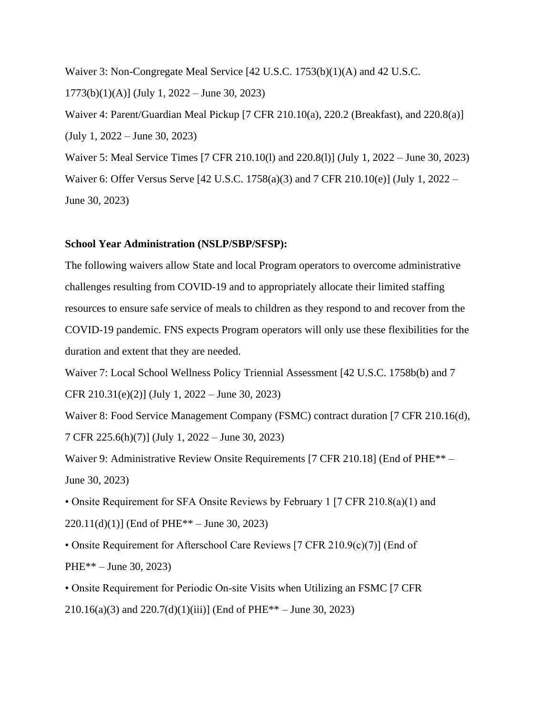Waiver 3: Non-Congregate Meal Service [42 U.S.C. 1753(b)(1)(A) and 42 U.S.C.  $1773(b)(1)(A)$ ] (July 1, 2022 – June 30, 2023) Waiver 4: Parent/Guardian Meal Pickup [7 CFR 210.10(a), 220.2 (Breakfast), and 220.8(a)] (July 1, 2022 – June 30, 2023) Waiver 5: Meal Service Times [7 CFR 210.10(l) and 220.8(l)] (July 1, 2022 – June 30, 2023) Waiver 6: Offer Versus Serve [42 U.S.C. 1758(a)(3) and 7 CFR 210.10(e)] (July 1, 2022 – June 30, 2023)

#### **School Year Administration (NSLP/SBP/SFSP):**

The following waivers allow State and local Program operators to overcome administrative challenges resulting from COVID-19 and to appropriately allocate their limited staffing resources to ensure safe service of meals to children as they respond to and recover from the COVID-19 pandemic. FNS expects Program operators will only use these flexibilities for the duration and extent that they are needed.

Waiver 7: Local School Wellness Policy Triennial Assessment [42 U.S.C. 1758b(b) and 7

CFR 210.31(e)(2)] (July 1, 2022 – June 30, 2023)

Waiver 8: Food Service Management Company (FSMC) contract duration [7 CFR 210.16(d), 7 CFR 225.6(h)(7)] (July 1, 2022 – June 30, 2023)

Waiver 9: Administrative Review Onsite Requirements [7 CFR 210.18] (End of PHE<sup>\*\*</sup> – June 30, 2023)

• Onsite Requirement for SFA Onsite Reviews by February 1 [7 CFR 210.8(a)(1) and  $220.11(d)(1)$ ] (End of PHE<sup>\*\*</sup> – June 30, 2023)

• Onsite Requirement for Afterschool Care Reviews [7 CFR 210.9(c)(7)] (End of PHE\*\* – June 30, 2023)

• Onsite Requirement for Periodic On-site Visits when Utilizing an FSMC [7 CFR 210.16(a)(3) and 220.7(d)(1)(iii)] (End of PHE<sup>\*\*</sup> – June 30, 2023)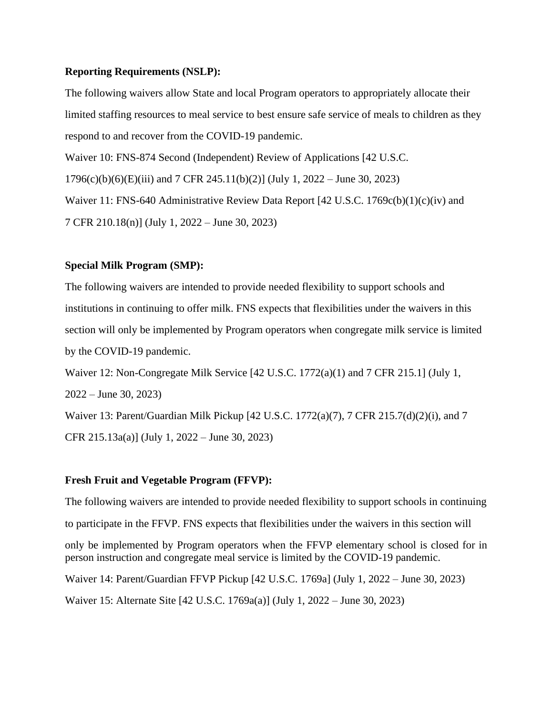### **Reporting Requirements (NSLP):**

The following waivers allow State and local Program operators to appropriately allocate their limited staffing resources to meal service to best ensure safe service of meals to children as they respond to and recover from the COVID-19 pandemic. Waiver 10: FNS-874 Second (Independent) Review of Applications [42 U.S.C. 1796(c)(b)(6)(E)(iii) and 7 CFR 245.11(b)(2)] (July 1, 2022 – June 30, 2023) Waiver 11: FNS-640 Administrative Review Data Report [42 U.S.C. 1769c(b)(1)(c)(iv) and 7 CFR 210.18(n)] (July 1, 2022 – June 30, 2023)

### **Special Milk Program (SMP):**

The following waivers are intended to provide needed flexibility to support schools and institutions in continuing to offer milk. FNS expects that flexibilities under the waivers in this section will only be implemented by Program operators when congregate milk service is limited by the COVID-19 pandemic.

Waiver 12: Non-Congregate Milk Service [42 U.S.C. 1772(a)(1) and 7 CFR 215.1] (July 1, 2022 – June 30, 2023) Waiver 13: Parent/Guardian Milk Pickup [42 U.S.C. 1772(a)(7), 7 CFR 215.7(d)(2)(i), and 7

CFR 215.13a(a)] (July 1, 2022 – June 30, 2023)

### **Fresh Fruit and Vegetable Program (FFVP):**

The following waivers are intended to provide needed flexibility to support schools in continuing to participate in the FFVP. FNS expects that flexibilities under the waivers in this section will only be implemented by Program operators when the FFVP elementary school is closed for in person instruction and congregate meal service is limited by the COVID-19 pandemic. Waiver 14: Parent/Guardian FFVP Pickup [42 U.S.C. 1769a] (July 1, 2022 – June 30, 2023) Waiver 15: Alternate Site [42 U.S.C. 1769a(a)] (July 1, 2022 – June 30, 2023)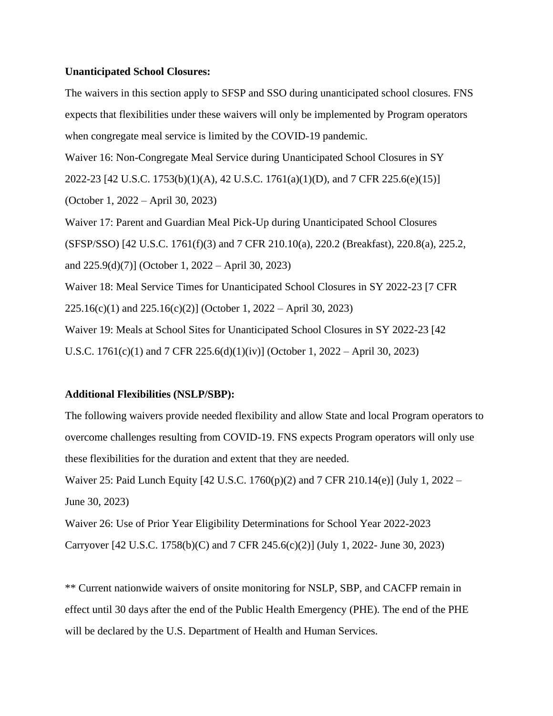#### **Unanticipated School Closures:**

The waivers in this section apply to SFSP and SSO during unanticipated school closures. FNS expects that flexibilities under these waivers will only be implemented by Program operators when congregate meal service is limited by the COVID-19 pandemic.

Waiver 16: Non-Congregate Meal Service during Unanticipated School Closures in SY

2022-23 [42 U.S.C. 1753(b)(1)(A), 42 U.S.C. 1761(a)(1)(D), and 7 CFR 225.6(e)(15)]

(October 1, 2022 – April 30, 2023)

Waiver 17: Parent and Guardian Meal Pick-Up during Unanticipated School Closures

(SFSP/SSO) [42 U.S.C. 1761(f)(3) and 7 CFR 210.10(a), 220.2 (Breakfast), 220.8(a), 225.2,

and 225.9(d)(7)] (October 1, 2022 – April 30, 2023)

Waiver 18: Meal Service Times for Unanticipated School Closures in SY 2022-23 [7 CFR 225.16(c)(1) and 225.16(c)(2)] (October 1, 2022 – April 30, 2023)

Waiver 19: Meals at School Sites for Unanticipated School Closures in SY 2022-23 [42 U.S.C. 1761(c)(1) and 7 CFR 225.6(d)(1)(iv)] (October 1, 2022 – April 30, 2023)

#### **Additional Flexibilities (NSLP/SBP):**

The following waivers provide needed flexibility and allow State and local Program operators to overcome challenges resulting from COVID-19. FNS expects Program operators will only use these flexibilities for the duration and extent that they are needed.

Waiver 25: Paid Lunch Equity [42 U.S.C. 1760(p)(2) and 7 CFR 210.14(e)] (July 1, 2022 – June 30, 2023)

Waiver 26: Use of Prior Year Eligibility Determinations for School Year 2022-2023 Carryover [42 U.S.C. 1758(b)(C) and 7 CFR 245.6(c)(2)] (July 1, 2022- June 30, 2023)

\*\* Current nationwide waivers of onsite monitoring for NSLP, SBP, and CACFP remain in effect until 30 days after the end of the Public Health Emergency (PHE). The end of the PHE will be declared by the U.S. Department of Health and Human Services.